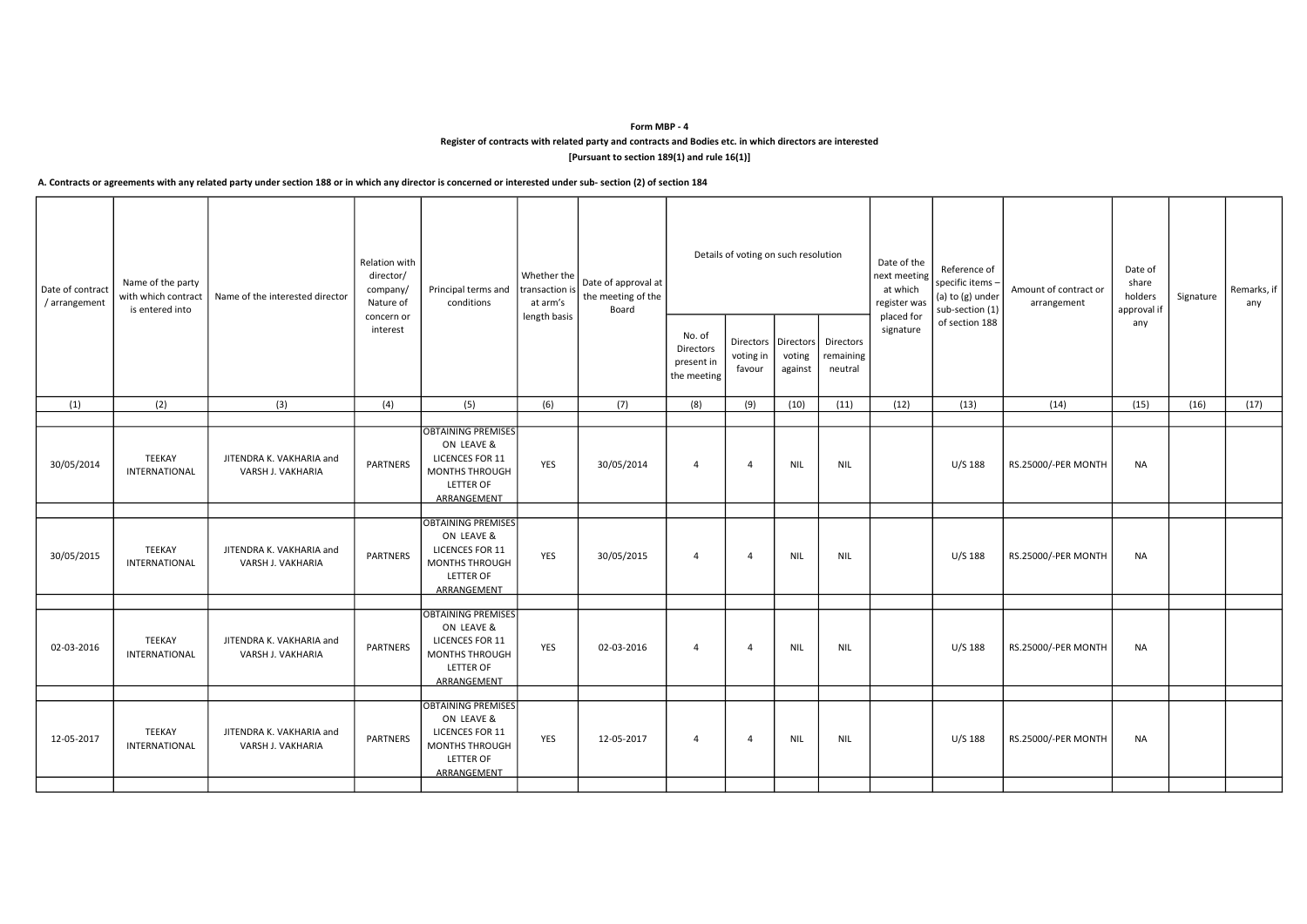## Form MBP - 4 Register of contracts with related party and contracts and Bodies etc. in which directors are interested [Pursuant to section 189(1) and rule 16(1)]

## A. Contracts or agreements with any related party under section 188 or in which any director is concerned or interested under sub- section (2) of section 184

| Date of contract<br>/ arrangement | Name of the party<br>with which contract<br>is entered into | Name of the interested director               | Relation with<br>director/<br>company/<br>Nature of | Principal terms and $\left \frac{\text{transaction}}{\text{transaction}}\right  \leq \frac{\sum_{n=1}^{n} x_n}{n}$ the meeting of the<br>conditions | Whether the  <br>at arm's | Board      |                                                  | Details of voting on such resolution           |                   |                                   | Date of the<br>next meeting<br>at which<br>register was | Reference of<br>specific items -<br>(a) to (g) under<br>sub-section (1) | Amount of contract or<br>arrangement | Date of<br>share<br>holders<br>approval if | Signature | Remarks, if<br>any |
|-----------------------------------|-------------------------------------------------------------|-----------------------------------------------|-----------------------------------------------------|-----------------------------------------------------------------------------------------------------------------------------------------------------|---------------------------|------------|--------------------------------------------------|------------------------------------------------|-------------------|-----------------------------------|---------------------------------------------------------|-------------------------------------------------------------------------|--------------------------------------|--------------------------------------------|-----------|--------------------|
|                                   |                                                             |                                               | concern or<br>interest                              |                                                                                                                                                     | length basis              |            | No. of<br>Directors<br>present in<br>the meeting | Directors   Directors  <br>voting in<br>favour | voting<br>against | Directors<br>remaining<br>neutral | placed for<br>signature                                 | of section 188                                                          |                                      | any                                        |           |                    |
| (1)                               | (2)                                                         | (3)                                           | (4)                                                 | (5)                                                                                                                                                 | (6)                       | (7)        | (8)                                              | (9)                                            | (10)              | (11)                              | (12)                                                    | (13)                                                                    | (14)                                 | (15)                                       | (16)      | (17)               |
|                                   |                                                             |                                               |                                                     | <b>OBTAINING PREMISES</b>                                                                                                                           |                           |            |                                                  |                                                |                   |                                   |                                                         |                                                                         |                                      |                                            |           |                    |
| 30/05/2014                        | <b>TEEKAY</b><br>INTERNATIONAL                              | JITENDRA K. VAKHARIA and<br>VARSH J. VAKHARIA | <b>PARTNERS</b>                                     | ON LEAVE &<br><b>LICENCES FOR 11</b><br>MONTHS THROUGH<br><b>LETTER OF</b><br>ARRANGEMENT                                                           | YES                       | 30/05/2014 | -4                                               | 4                                              | <b>NIL</b>        | NIL                               |                                                         | U/S 188                                                                 | RS.25000/-PER MONTH                  | NA                                         |           |                    |
| 30/05/2015                        | <b>TEEKAY</b><br>INTERNATIONAL                              | JITENDRA K. VAKHARIA and<br>VARSH J. VAKHARIA | <b>PARTNERS</b>                                     | <b>OBTAINING PREMISES</b><br>ON LEAVE &<br><b>LICENCES FOR 11</b><br>MONTHS THROUGH<br><b>LETTER OF</b><br>ARRANGEMENT                              | YES                       | 30/05/2015 | 4                                                | 4                                              | <b>NIL</b>        | NIL                               |                                                         | U/S 188                                                                 | RS.25000/-PER MONTH                  | NA                                         |           |                    |
| 02-03-2016                        | <b>TEEKAY</b><br>INTERNATIONAL                              | JITENDRA K. VAKHARIA and<br>VARSH J. VAKHARIA | <b>PARTNERS</b>                                     | <b>OBTAINING PREMISES</b><br>ON LEAVE &<br><b>LICENCES FOR 11</b><br>MONTHS THROUGH<br><b>LETTER OF</b><br>ARRANGEMENT                              | YES                       | 02-03-2016 | $\overline{4}$                                   | 4                                              | NIL               | NIL                               |                                                         | U/S 188                                                                 | RS.25000/-PER MONTH                  | NA                                         |           |                    |
|                                   |                                                             |                                               |                                                     | <b>OBTAINING PREMISES</b>                                                                                                                           |                           |            |                                                  |                                                |                   |                                   |                                                         |                                                                         |                                      |                                            |           |                    |
| 12-05-2017                        | TEEKAY<br>INTERNATIONAL                                     | JITENDRA K. VAKHARIA and<br>VARSH J. VAKHARIA | <b>PARTNERS</b>                                     | ON LEAVE &<br><b>LICENCES FOR 11</b><br>MONTHS THROUGH<br><b>LETTER OF</b><br>ARRANGEMENT                                                           | YES                       | 12-05-2017 | 4                                                | 4                                              | NIL               | NIL                               |                                                         | U/S 188                                                                 | RS.25000/-PER MONTH                  | NA                                         |           |                    |
|                                   |                                                             |                                               |                                                     |                                                                                                                                                     |                           |            |                                                  |                                                |                   |                                   |                                                         |                                                                         |                                      |                                            |           |                    |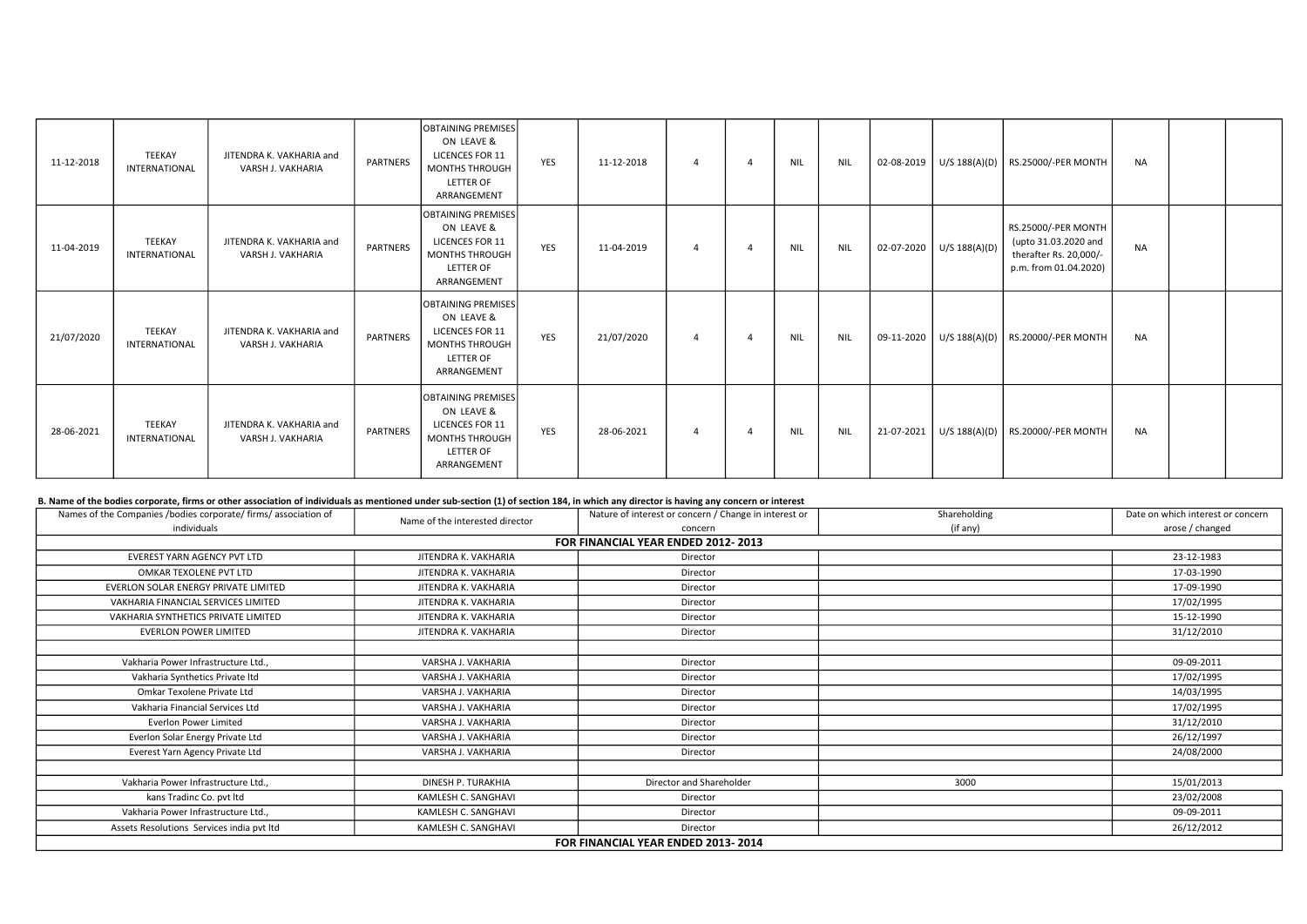| 11-12-2018 | TEEKAY<br>INTERNATIONAL | JITENDRA K. VAKHARIA and<br>VARSH J. VAKHARIA | <b>PARTNERS</b> | IOBTAINING PREMISESI<br>ON LEAVE &<br><b>LICENCES FOR 11</b><br><b>MONTHS THROUGH</b><br><b>LETTER OF</b><br>ARRANGEMENT      | YES        | 11-12-2018 | Δ              | $\overline{a}$ | <b>NIL</b> | <b>NIL</b> | 02-08-2019 |                            | U/S 188(A)(D)   RS.25000/-PER MONTH                                                            | <b>NA</b> |  |
|------------|-------------------------|-----------------------------------------------|-----------------|-------------------------------------------------------------------------------------------------------------------------------|------------|------------|----------------|----------------|------------|------------|------------|----------------------------|------------------------------------------------------------------------------------------------|-----------|--|
| 11-04-2019 | TEEKAY<br>INTERNATIONAL | JITENDRA K. VAKHARIA and<br>VARSH J. VAKHARIA | <b>PARTNERS</b> | <b>OBTAINING PREMISES</b><br>ON LEAVE &<br>LICENCES FOR 11<br><b>MONTHS THROUGH</b><br><b>LETTER OF</b><br>ARRANGEMENT        | <b>YES</b> | 11-04-2019 | $\overline{a}$ | 4              | <b>NIL</b> | <b>NIL</b> |            | 02-07-2020   U/S 188(A)(D) | RS.25000/-PER MONTH<br>(upto 31.03.2020 and<br>therafter Rs. 20,000/-<br>p.m. from 01.04.2020) | <b>NA</b> |  |
| 21/07/2020 | TEEKAY<br>INTERNATIONAL | JITENDRA K. VAKHARIA and<br>VARSH J. VAKHARIA | PARTNERS        | <b>OBTAINING PREMISES</b><br>ON LEAVE &<br><b>LICENCES FOR 11</b><br><b>MONTHS THROUGH</b><br><b>LETTER OF</b><br>ARRANGEMENT | <b>YES</b> | 21/07/2020 | -4             | $\overline{a}$ | <b>NIL</b> | NIL        |            |                            | 09-11-2020   U/S 188(A)(D)   RS.20000/-PER MONTH                                               | <b>NA</b> |  |
| 28-06-2021 | TEEKAY<br>INTERNATIONAL | JITENDRA K. VAKHARIA and<br>VARSH J. VAKHARIA | PARTNERS        | OBTAINING PREMISES<br>ON LEAVE &<br>LICENCES FOR 11<br><b>MONTHS THROUGH</b><br><b>LETTER OF</b><br>ARRANGEMENT               | YES        | 28-06-2021 | $\overline{4}$ | $\overline{a}$ | NIL        | <b>NIL</b> | 21-07-2021 |                            | U/S 188(A)(D)   RS.20000/-PER MONTH                                                            | <b>NA</b> |  |

## B. Name of the bodies corporate, firms or other association of individuals as mentioned under sub-section (1) of section 184, in which any director is having any concern or interest

| Names of the Companies /bodies corporate/ firms/ association of |                                 | Nature of interest or concern / Change in interest or | Shareholding | Date on which interest or concern |  |  |  |  |  |
|-----------------------------------------------------------------|---------------------------------|-------------------------------------------------------|--------------|-----------------------------------|--|--|--|--|--|
| individuals                                                     | Name of the interested director | concern                                               | (if any)     | arose / changed                   |  |  |  |  |  |
| FOR FINANCIAL YEAR ENDED 2012-2013                              |                                 |                                                       |              |                                   |  |  |  |  |  |
| EVEREST YARN AGENCY PVT LTD                                     | JITENDRA K. VAKHARIA            | Director                                              |              | 23-12-1983                        |  |  |  |  |  |
| OMKAR TEXOLENE PVT LTD                                          | JITENDRA K. VAKHARIA            | Director                                              |              | 17-03-1990                        |  |  |  |  |  |
| EVERLON SOLAR ENERGY PRIVATE LIMITED                            | JITENDRA K. VAKHARIA            | Director                                              |              | 17-09-1990                        |  |  |  |  |  |
| VAKHARIA FINANCIAL SERVICES LIMITED                             | JITENDRA K. VAKHARIA            | Director                                              |              | 17/02/1995                        |  |  |  |  |  |
| VAKHARIA SYNTHETICS PRIVATE LIMITED                             | JITENDRA K. VAKHARIA            | Director                                              |              | 15-12-1990                        |  |  |  |  |  |
| <b>EVERLON POWER LIMITED</b>                                    | JITENDRA K. VAKHARIA            | Director                                              |              | 31/12/2010                        |  |  |  |  |  |
|                                                                 |                                 |                                                       |              |                                   |  |  |  |  |  |
| Vakharia Power Infrastructure Ltd.,                             | VARSHA J. VAKHARIA              | Director                                              |              | 09-09-2011                        |  |  |  |  |  |
| Vakharia Synthetics Private Itd                                 | VARSHA J. VAKHARIA              | Director                                              |              | 17/02/1995                        |  |  |  |  |  |
| Omkar Texolene Private Ltd                                      | VARSHA J. VAKHARIA              | Director                                              |              | 14/03/1995                        |  |  |  |  |  |
| Vakharia Financial Services Ltd                                 | VARSHA J. VAKHARIA              | Director                                              |              | 17/02/1995                        |  |  |  |  |  |
| Everlon Power Limited                                           | VARSHA J. VAKHARIA              | Director                                              |              | 31/12/2010                        |  |  |  |  |  |
| Everlon Solar Energy Private Ltd                                | VARSHA J. VAKHARIA              | Director                                              |              | 26/12/1997                        |  |  |  |  |  |
| Everest Yarn Agency Private Ltd                                 | VARSHA J. VAKHARIA              | Director                                              |              | 24/08/2000                        |  |  |  |  |  |
|                                                                 |                                 |                                                       |              |                                   |  |  |  |  |  |
| Vakharia Power Infrastructure Ltd                               | DINESH P. TURAKHIA              | Director and Shareholder                              | 3000         | 15/01/2013                        |  |  |  |  |  |
| kans Tradinc Co. pvt ltd                                        | KAMLESH C. SANGHAVI             | Director                                              |              | 23/02/2008                        |  |  |  |  |  |
| Vakharia Power Infrastructure Ltd.,                             | KAMLESH C. SANGHAVI             | Director                                              |              | 09-09-2011                        |  |  |  |  |  |
| Assets Resolutions Services india pvt ltd                       | KAMLESH C. SANGHAVI             | Director                                              |              | 26/12/2012                        |  |  |  |  |  |
| FOR FINANCIAL YEAR ENDED 2013-2014                              |                                 |                                                       |              |                                   |  |  |  |  |  |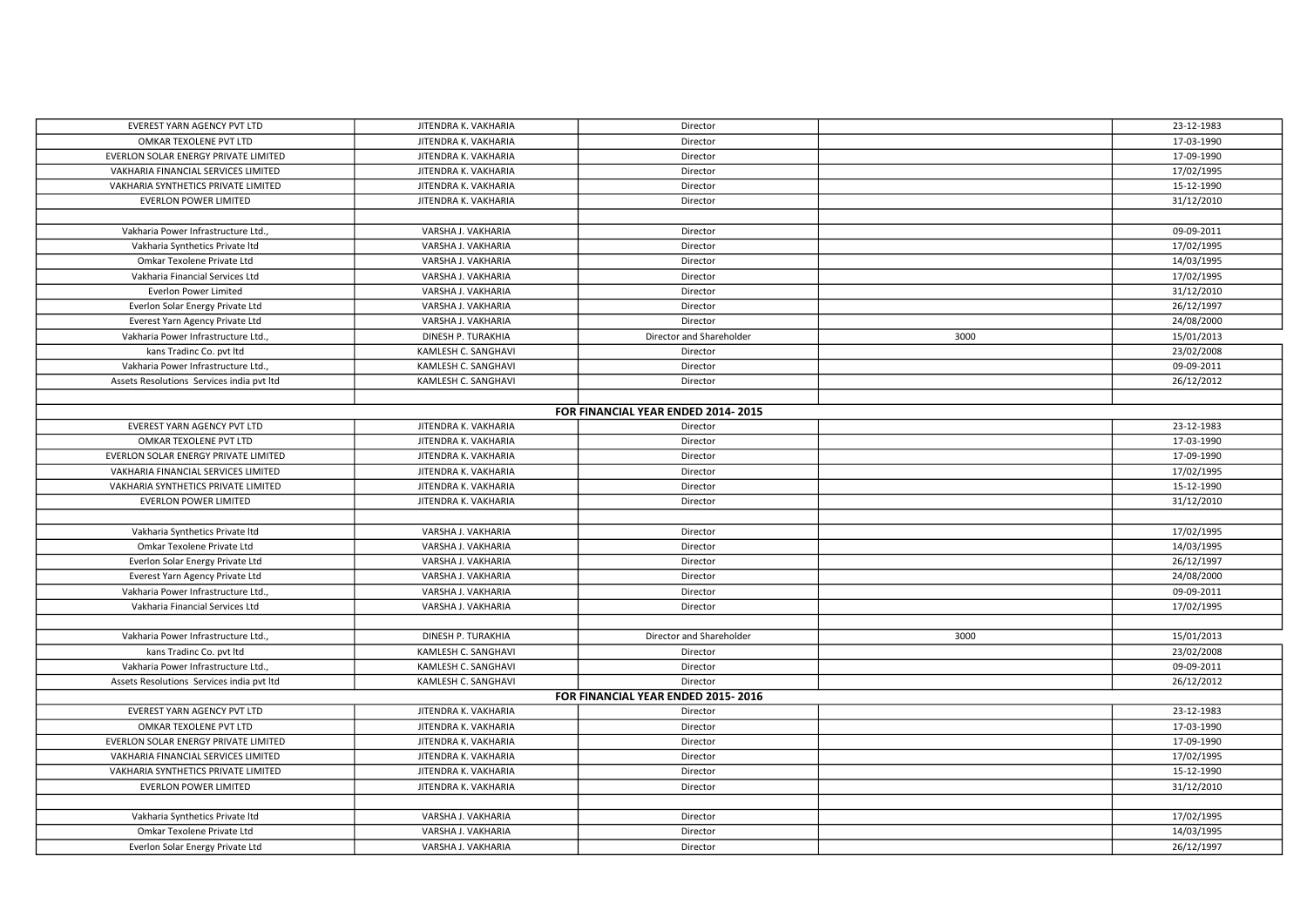| EVEREST YARN AGENCY PVT LTD               | JITENDRA K. VAKHARIA | Director                           |      | 23-12-1983 |  |  |  |  |
|-------------------------------------------|----------------------|------------------------------------|------|------------|--|--|--|--|
| OMKAR TEXOLENE PVT LTD                    | JITENDRA K. VAKHARIA | Director                           |      | 17-03-1990 |  |  |  |  |
| EVERLON SOLAR ENERGY PRIVATE LIMITED      | JITENDRA K. VAKHARIA | Director                           |      | 17-09-1990 |  |  |  |  |
| VAKHARIA FINANCIAL SERVICES LIMITED       | JITENDRA K. VAKHARIA | Director                           |      | 17/02/1995 |  |  |  |  |
| VAKHARIA SYNTHETICS PRIVATE LIMITED       | JITENDRA K. VAKHARIA | Director                           |      | 15-12-1990 |  |  |  |  |
| <b>EVERLON POWER LIMITED</b>              | JITENDRA K. VAKHARIA | Director                           |      | 31/12/2010 |  |  |  |  |
|                                           |                      |                                    |      |            |  |  |  |  |
| Vakharia Power Infrastructure Ltd.,       | VARSHA J. VAKHARIA   | Director                           |      | 09-09-2011 |  |  |  |  |
| Vakharia Synthetics Private Itd           | VARSHA J. VAKHARIA   | Director                           |      | 17/02/1995 |  |  |  |  |
| Omkar Texolene Private Ltd                | VARSHA J. VAKHARIA   | Director                           |      | 14/03/1995 |  |  |  |  |
| Vakharia Financial Services Ltd           | VARSHA J. VAKHARIA   | Director                           |      | 17/02/1995 |  |  |  |  |
| Everlon Power Limited                     | VARSHA J. VAKHARIA   | Director                           |      | 31/12/2010 |  |  |  |  |
| Everlon Solar Energy Private Ltd          | VARSHA J. VAKHARIA   | Director                           |      | 26/12/1997 |  |  |  |  |
| Everest Yarn Agency Private Ltd           | VARSHA J. VAKHARIA   | Director                           |      | 24/08/2000 |  |  |  |  |
| Vakharia Power Infrastructure Ltd.,       | DINESH P. TURAKHIA   | Director and Shareholder           | 3000 | 15/01/2013 |  |  |  |  |
| kans Tradinc Co. pvt ltd                  | KAMLESH C. SANGHAVI  | Director                           |      | 23/02/2008 |  |  |  |  |
| Vakharia Power Infrastructure Ltd.,       | KAMLESH C. SANGHAVI  | Director                           |      | 09-09-2011 |  |  |  |  |
| Assets Resolutions Services india pvt ltd | KAMLESH C. SANGHAVI  | Director                           |      | 26/12/2012 |  |  |  |  |
|                                           |                      |                                    |      |            |  |  |  |  |
| FOR FINANCIAL YEAR ENDED 2014-2015        |                      |                                    |      |            |  |  |  |  |
| EVEREST YARN AGENCY PVT LTD               | JITENDRA K. VAKHARIA | Director                           |      | 23-12-1983 |  |  |  |  |
| OMKAR TEXOLENE PVT LTD                    | JITENDRA K. VAKHARIA | Director                           |      | 17-03-1990 |  |  |  |  |
| EVERLON SOLAR ENERGY PRIVATE LIMITED      | JITENDRA K. VAKHARIA | Director                           |      | 17-09-1990 |  |  |  |  |
| VAKHARIA FINANCIAL SERVICES LIMITED       | JITENDRA K. VAKHARIA | Director                           |      | 17/02/1995 |  |  |  |  |
| VAKHARIA SYNTHETICS PRIVATE LIMITED       | JITENDRA K. VAKHARIA | Director                           |      | 15-12-1990 |  |  |  |  |
| <b>EVERLON POWER LIMITED</b>              | JITENDRA K. VAKHARIA | Director                           |      | 31/12/2010 |  |  |  |  |
|                                           |                      |                                    |      |            |  |  |  |  |
| Vakharia Synthetics Private Itd           | VARSHA J. VAKHARIA   | Director                           |      | 17/02/1995 |  |  |  |  |
| Omkar Texolene Private Ltd                | VARSHA J. VAKHARIA   | Director                           |      | 14/03/1995 |  |  |  |  |
| Everlon Solar Energy Private Ltd          | VARSHA J. VAKHARIA   | Director                           |      | 26/12/1997 |  |  |  |  |
| Everest Yarn Agency Private Ltd           | VARSHA J. VAKHARIA   | Director                           |      | 24/08/2000 |  |  |  |  |
| Vakharia Power Infrastructure Ltd.,       | VARSHA J. VAKHARIA   | Director                           |      | 09-09-2011 |  |  |  |  |
| Vakharia Financial Services Ltd           | VARSHA J. VAKHARIA   | Director                           |      | 17/02/1995 |  |  |  |  |
|                                           |                      |                                    |      |            |  |  |  |  |
| Vakharia Power Infrastructure Ltd.,       | DINESH P. TURAKHIA   | Director and Shareholder           | 3000 | 15/01/2013 |  |  |  |  |
| kans Tradinc Co. pvt ltd                  | KAMLESH C. SANGHAVI  | Director                           |      | 23/02/2008 |  |  |  |  |
| Vakharia Power Infrastructure Ltd.,       | KAMLESH C. SANGHAVI  | Director                           |      | 09-09-2011 |  |  |  |  |
| Assets Resolutions Services india pvt ltd | KAMLESH C. SANGHAVI  | Director                           |      | 26/12/2012 |  |  |  |  |
|                                           |                      | FOR FINANCIAL YEAR ENDED 2015-2016 |      |            |  |  |  |  |
| EVEREST YARN AGENCY PVT LTD               | JITENDRA K. VAKHARIA | Director                           |      | 23-12-1983 |  |  |  |  |
| OMKAR TEXOLENE PVT LTD                    | JITENDRA K. VAKHARIA | Director                           |      | 17-03-1990 |  |  |  |  |
| EVERLON SOLAR ENERGY PRIVATE LIMITED      | JITENDRA K. VAKHARIA | Director                           |      | 17-09-1990 |  |  |  |  |
| VAKHARIA FINANCIAL SERVICES LIMITED       | JITENDRA K. VAKHARIA | Director                           |      | 17/02/1995 |  |  |  |  |
| VAKHARIA SYNTHETICS PRIVATE LIMITED       | JITENDRA K. VAKHARIA | Director                           |      | 15-12-1990 |  |  |  |  |
| <b>EVERLON POWER LIMITED</b>              | JITENDRA K. VAKHARIA | Director                           |      | 31/12/2010 |  |  |  |  |
|                                           |                      |                                    |      |            |  |  |  |  |
| Vakharia Synthetics Private Itd           | VARSHA J. VAKHARIA   | Director                           |      | 17/02/1995 |  |  |  |  |
| Omkar Texolene Private Ltd                | VARSHA J. VAKHARIA   | Director                           |      | 14/03/1995 |  |  |  |  |
| Everlon Solar Energy Private Ltd          | VARSHA J. VAKHARIA   | Director                           |      | 26/12/1997 |  |  |  |  |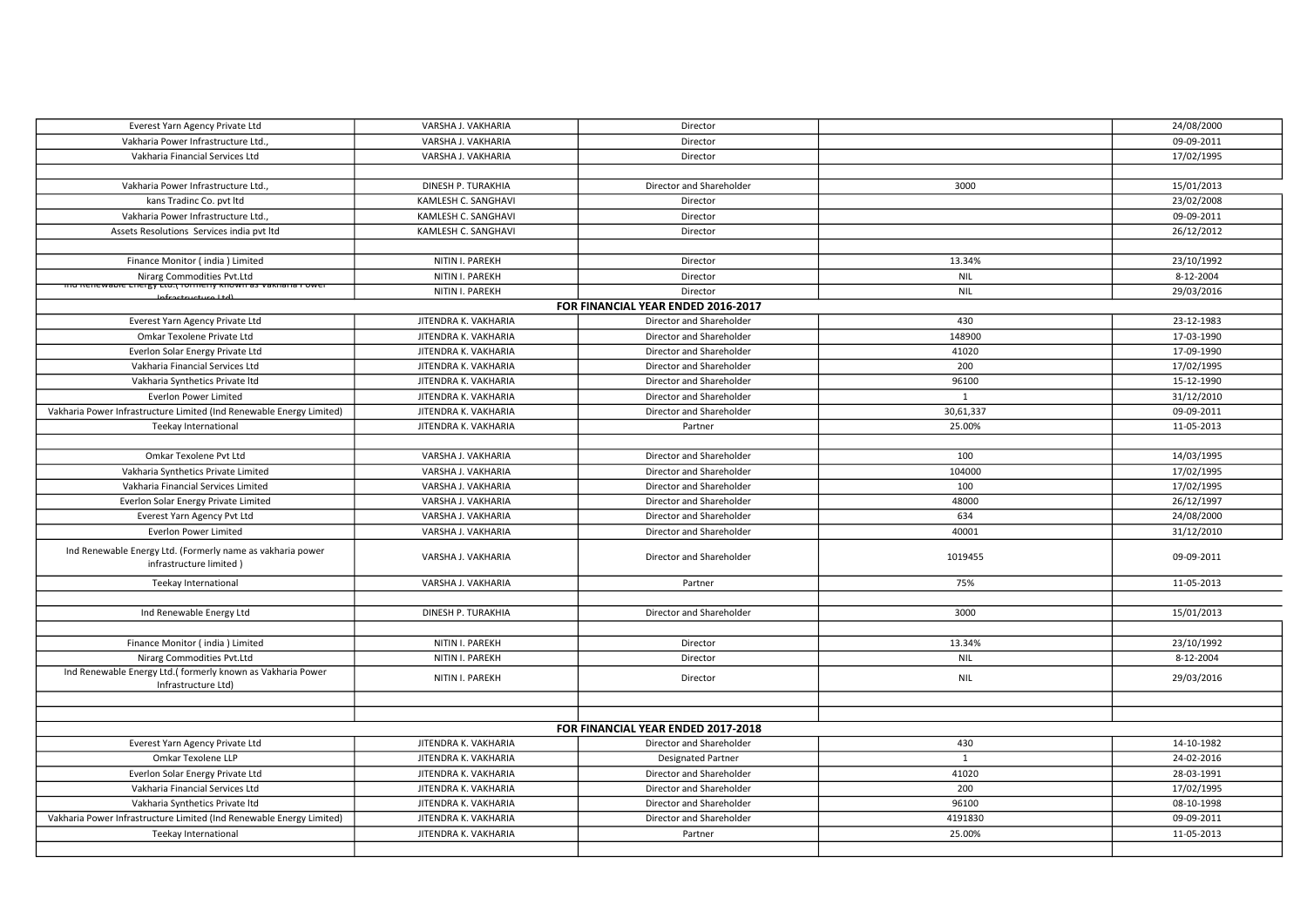| Everest Yarn Agency Private Ltd                                                              | VARSHA J. VAKHARIA   | Director                           |              | 24/08/2000 |
|----------------------------------------------------------------------------------------------|----------------------|------------------------------------|--------------|------------|
| Vakharia Power Infrastructure Ltd.                                                           | VARSHA J. VAKHARIA   | Director                           |              | 09-09-2011 |
| Vakharia Financial Services Ltd                                                              | VARSHA J. VAKHARIA   | Director                           |              | 17/02/1995 |
|                                                                                              |                      |                                    |              |            |
| Vakharia Power Infrastructure Ltd.,                                                          | DINESH P. TURAKHIA   | Director and Shareholder           | 3000         | 15/01/2013 |
| kans Tradinc Co. pvt ltd                                                                     | KAMLESH C. SANGHAVI  | Director                           |              | 23/02/2008 |
| Vakharia Power Infrastructure Ltd.,                                                          | KAMLESH C. SANGHAVI  | Director                           |              | 09-09-2011 |
| Assets Resolutions Services india pvt ltd                                                    | KAMLESH C. SANGHAVI  | Director                           |              | 26/12/2012 |
|                                                                                              |                      |                                    |              |            |
| Finance Monitor (india) Limited                                                              | NITIN I. PAREKH      | Director                           | 13.34%       | 23/10/1992 |
| Nirarg Commodities Pvt.Ltd                                                                   | NITIN I. PAREKH      | Director                           | <b>NIL</b>   | 8-12-2004  |
| <u>הוט מפוזפשסטופ בחפוצץ בנט.ך וטו וופוזץ מוטשוו as variana rower</u><br>Infractructura Itd) | NITIN I. PAREKH      | Director                           | <b>NIL</b>   | 29/03/2016 |
|                                                                                              |                      | FOR FINANCIAL YEAR ENDED 2016-2017 |              |            |
| Everest Yarn Agency Private Ltd                                                              | JITENDRA K. VAKHARIA | Director and Shareholder           | 430          | 23-12-1983 |
| Omkar Texolene Private Ltd                                                                   | JITENDRA K. VAKHARIA | Director and Shareholder           | 148900       | 17-03-1990 |
| Everlon Solar Energy Private Ltd                                                             | JITENDRA K. VAKHARIA | Director and Shareholder           | 41020        | 17-09-1990 |
| Vakharia Financial Services Ltd                                                              | JITENDRA K. VAKHARIA | Director and Shareholder           | 200          | 17/02/1995 |
| Vakharia Synthetics Private Itd                                                              | JITENDRA K. VAKHARIA | Director and Shareholder           | 96100        | 15-12-1990 |
| <b>Everlon Power Limited</b>                                                                 | JITENDRA K. VAKHARIA | Director and Shareholder           | $\mathbf{1}$ | 31/12/2010 |
| Vakharia Power Infrastructure Limited (Ind Renewable Energy Limited)                         | JITENDRA K. VAKHARIA | Director and Shareholder           | 30,61,337    | 09-09-2011 |
| Teekay International                                                                         | JITENDRA K. VAKHARIA | Partner                            | 25.00%       | 11-05-2013 |
|                                                                                              |                      |                                    |              |            |
| Omkar Texolene Pvt Ltd                                                                       | VARSHA J. VAKHARIA   | Director and Shareholder           | 100          | 14/03/1995 |
| Vakharia Synthetics Private Limited                                                          | VARSHA J. VAKHARIA   | Director and Shareholder           | 104000       | 17/02/1995 |
| Vakharia Financial Services Limited                                                          | VARSHA J. VAKHARIA   | Director and Shareholder           | 100          | 17/02/1995 |
| Everlon Solar Energy Private Limited                                                         | VARSHA J. VAKHARIA   | Director and Shareholder           | 48000        | 26/12/1997 |
| Everest Yarn Agency Pvt Ltd                                                                  | VARSHA J. VAKHARIA   | Director and Shareholder           | 634          | 24/08/2000 |
| <b>Everlon Power Limited</b>                                                                 | VARSHA J. VAKHARIA   | Director and Shareholder           | 40001        | 31/12/2010 |
| Ind Renewable Energy Ltd. (Formerly name as vakharia power<br>infrastructure limited)        | VARSHA J. VAKHARIA   | Director and Shareholder           | 1019455      | 09-09-2011 |
| Teekay International                                                                         | VARSHA J. VAKHARIA   | Partner                            | 75%          | 11-05-2013 |
|                                                                                              |                      |                                    |              |            |
| Ind Renewable Energy Ltd                                                                     | DINESH P. TURAKHIA   | Director and Shareholder           | 3000         | 15/01/2013 |
|                                                                                              |                      |                                    |              |            |
| Finance Monitor (india) Limited                                                              | NITIN I. PAREKH      | Director                           | 13.34%       | 23/10/1992 |
| Nirarg Commodities Pvt.Ltd                                                                   | NITIN I. PAREKH      | Director                           | <b>NIL</b>   | 8-12-2004  |
| Ind Renewable Energy Ltd.( formerly known as Vakharia Power<br>Infrastructure Ltd)           | NITIN I. PAREKH      | Director                           | <b>NIL</b>   | 29/03/2016 |
|                                                                                              |                      |                                    |              |            |
|                                                                                              |                      |                                    |              |            |
|                                                                                              |                      | FOR FINANCIAL YEAR ENDED 2017-2018 |              |            |
| Everest Yarn Agency Private Ltd                                                              | JITENDRA K. VAKHARIA | Director and Shareholder           | 430          | 14-10-1982 |
| Omkar Texolene LLP                                                                           | JITENDRA K. VAKHARIA | <b>Designated Partner</b>          | $\mathbf{1}$ | 24-02-2016 |
| Everlon Solar Energy Private Ltd                                                             | JITENDRA K. VAKHARIA | Director and Shareholder           | 41020        | 28-03-1991 |
| Vakharia Financial Services Ltd                                                              | JITENDRA K. VAKHARIA | Director and Shareholder           | 200          | 17/02/1995 |
| Vakharia Synthetics Private Itd                                                              | JITENDRA K. VAKHARIA | Director and Shareholder           | 96100        | 08-10-1998 |
| Vakharia Power Infrastructure Limited (Ind Renewable Energy Limited)                         | JITENDRA K. VAKHARIA | Director and Shareholder           | 4191830      | 09-09-2011 |
| Teekay International                                                                         | JITENDRA K. VAKHARIA | Partner                            | 25.00%       | 11-05-2013 |
|                                                                                              |                      |                                    |              |            |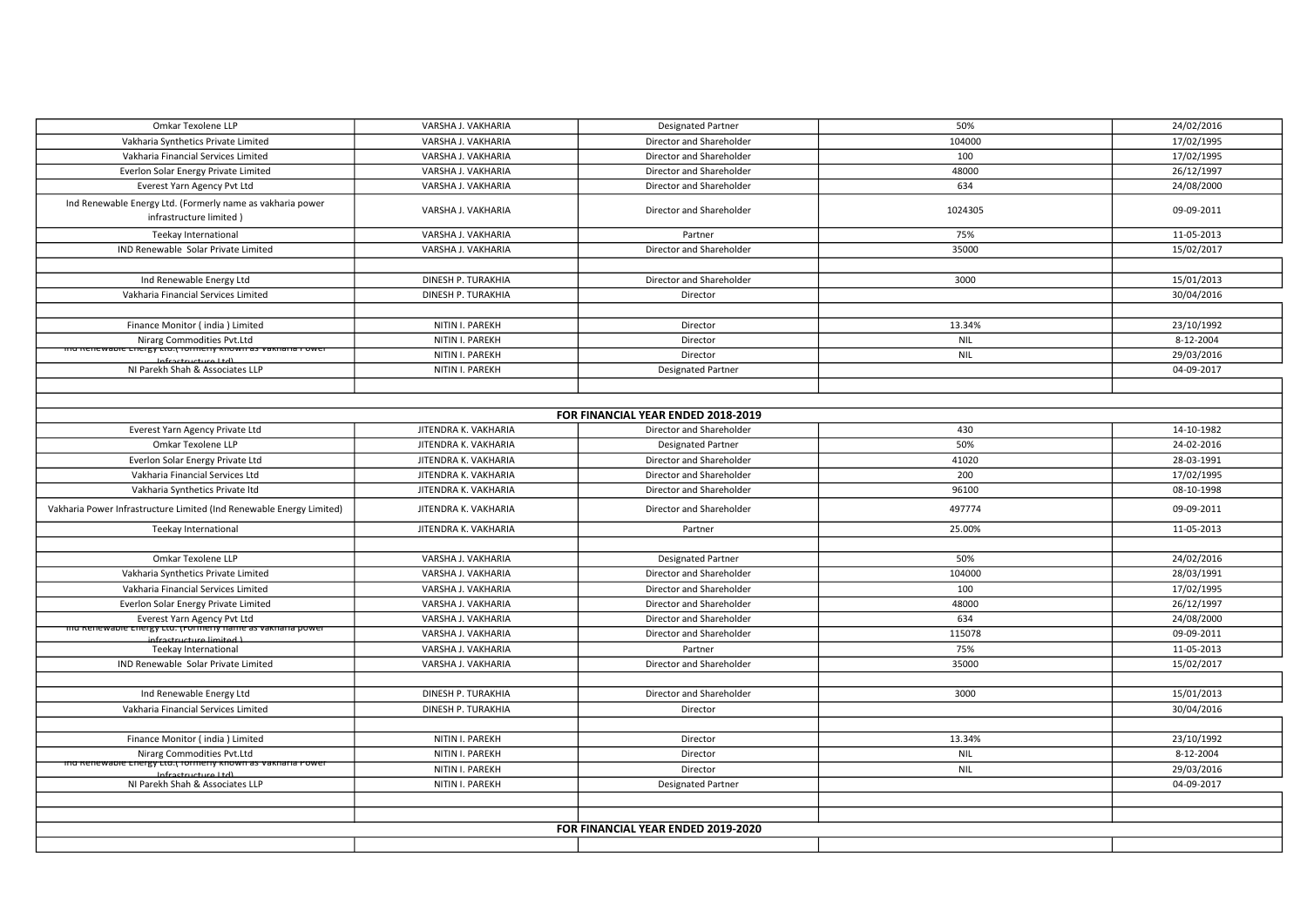| Omkar Texolene LLP                                                                    | VARSHA J. VAKHARIA   | <b>Designated Partner</b>          | 50%        | 24/02/2016 |  |  |  |  |
|---------------------------------------------------------------------------------------|----------------------|------------------------------------|------------|------------|--|--|--|--|
| Vakharia Synthetics Private Limited                                                   | VARSHA J. VAKHARIA   | Director and Shareholder           | 104000     | 17/02/1995 |  |  |  |  |
| Vakharia Financial Services Limited                                                   | VARSHA J. VAKHARIA   | Director and Shareholder           | 100        | 17/02/1995 |  |  |  |  |
| Everlon Solar Energy Private Limited                                                  | VARSHA J. VAKHARIA   | Director and Shareholder           | 48000      | 26/12/1997 |  |  |  |  |
| Everest Yarn Agency Pvt Ltd                                                           | VARSHA J. VAKHARIA   | Director and Shareholder           | 634        | 24/08/2000 |  |  |  |  |
| Ind Renewable Energy Ltd. (Formerly name as vakharia power<br>infrastructure limited) | VARSHA J. VAKHARIA   | Director and Shareholder           | 1024305    | 09-09-2011 |  |  |  |  |
| Teekay International                                                                  | VARSHA J. VAKHARIA   | Partner                            | 75%        | 11-05-2013 |  |  |  |  |
| IND Renewable Solar Private Limited                                                   | VARSHA J. VAKHARIA   | Director and Shareholder           | 35000      | 15/02/2017 |  |  |  |  |
|                                                                                       |                      |                                    |            |            |  |  |  |  |
| Ind Renewable Energy Ltd                                                              | DINESH P. TURAKHIA   | Director and Shareholder           | 3000       | 15/01/2013 |  |  |  |  |
| Vakharia Financial Services Limited                                                   | DINESH P. TURAKHIA   | Director                           |            | 30/04/2016 |  |  |  |  |
|                                                                                       |                      |                                    |            |            |  |  |  |  |
| Finance Monitor (india) Limited                                                       | NITIN I. PAREKH      | Director                           | 13.34%     | 23/10/1992 |  |  |  |  |
| Nirarg Commodities Pvt.Ltd                                                            | NITIN I. PAREKH      | Director                           | <b>NIL</b> | 8-12-2004  |  |  |  |  |
| <u>nu Kenewabie chergy ctu.j formeny known as vakhana Power</u>                       | NITIN I. PAREKH      | Director                           | <b>NIL</b> | 29/03/2016 |  |  |  |  |
| Infractructura Itd)<br>NI Parekh Shah & Associates LLP                                | NITIN I. PAREKH      | <b>Designated Partner</b>          |            | 04-09-2017 |  |  |  |  |
|                                                                                       |                      |                                    |            |            |  |  |  |  |
|                                                                                       |                      |                                    |            |            |  |  |  |  |
| FOR FINANCIAL YEAR ENDED 2018-2019                                                    |                      |                                    |            |            |  |  |  |  |
| Everest Yarn Agency Private Ltd                                                       | JITENDRA K. VAKHARIA | Director and Shareholder           | 430        | 14-10-1982 |  |  |  |  |
| Omkar Texolene LLP                                                                    | JITENDRA K. VAKHARIA | <b>Designated Partner</b>          | 50%        | 24-02-2016 |  |  |  |  |
| Everlon Solar Energy Private Ltd                                                      | JITENDRA K. VAKHARIA | Director and Shareholder           | 41020      | 28-03-1991 |  |  |  |  |
| Vakharia Financial Services Ltd                                                       | JITENDRA K. VAKHARIA | Director and Shareholder           | 200        | 17/02/1995 |  |  |  |  |
| Vakharia Synthetics Private Itd                                                       | JITENDRA K. VAKHARIA | Director and Shareholder           | 96100      | 08-10-1998 |  |  |  |  |
| Vakharia Power Infrastructure Limited (Ind Renewable Energy Limited)                  | JITENDRA K. VAKHARIA | Director and Shareholder           | 497774     | 09-09-2011 |  |  |  |  |
| Teekay International                                                                  | JITENDRA K. VAKHARIA | Partner                            | 25.00%     | 11-05-2013 |  |  |  |  |
|                                                                                       |                      |                                    |            |            |  |  |  |  |
| Omkar Texolene LLP                                                                    | VARSHA J. VAKHARIA   | <b>Designated Partner</b>          | 50%        | 24/02/2016 |  |  |  |  |
| Vakharia Synthetics Private Limited                                                   | VARSHA J. VAKHARIA   | Director and Shareholder           | 104000     | 28/03/1991 |  |  |  |  |
| Vakharia Financial Services Limited                                                   | VARSHA J. VAKHARIA   | Director and Shareholder           | 100        | 17/02/1995 |  |  |  |  |
| Everlon Solar Energy Private Limited                                                  | VARSHA J. VAKHARIA   | Director and Shareholder           | 48000      | 26/12/1997 |  |  |  |  |
| Everest Yarn Agency Pvt Ltd                                                           | VARSHA J. VAKHARIA   | Director and Shareholder           | 634        | 24/08/2000 |  |  |  |  |
| <del>mu Kenewable Energy Etu. (Formeny name as vakhana power</del>                    | VARSHA J. VAKHARIA   | Director and Shareholder           | 115078     | 09-09-2011 |  |  |  |  |
| infractructure limited L<br>Teekay International                                      | VARSHA J. VAKHARIA   | Partner                            | 75%        | 11-05-2013 |  |  |  |  |
| IND Renewable Solar Private Limited                                                   | VARSHA J. VAKHARIA   | Director and Shareholder           | 35000      | 15/02/2017 |  |  |  |  |
|                                                                                       |                      |                                    |            |            |  |  |  |  |
| Ind Renewable Energy Ltd                                                              | DINESH P. TURAKHIA   | Director and Shareholder           | 3000       | 15/01/2013 |  |  |  |  |
| Vakharia Financial Services Limited                                                   | DINESH P. TURAKHIA   | Director                           |            | 30/04/2016 |  |  |  |  |
|                                                                                       |                      |                                    |            |            |  |  |  |  |
| Finance Monitor (india) Limited                                                       | NITIN I. PAREKH      | Director                           | 13.34%     | 23/10/1992 |  |  |  |  |
| Nirarg Commodities Pvt.Ltd                                                            | NITIN I. PAREKH      | Director                           | <b>NIL</b> | 8-12-2004  |  |  |  |  |
| inu Kenewable chergy Ltu.( formerly known as vakharia Power                           | NITIN I. PAREKH      | Director                           | <b>NIL</b> | 29/03/2016 |  |  |  |  |
| Infractructura1td1<br>NI Parekh Shah & Associates LLP                                 | NITIN I. PAREKH      | <b>Designated Partner</b>          |            | 04-09-2017 |  |  |  |  |
|                                                                                       |                      |                                    |            |            |  |  |  |  |
|                                                                                       |                      |                                    |            |            |  |  |  |  |
|                                                                                       |                      | FOR FINANCIAL YEAR ENDED 2019-2020 |            |            |  |  |  |  |
|                                                                                       |                      |                                    |            |            |  |  |  |  |
|                                                                                       |                      |                                    |            |            |  |  |  |  |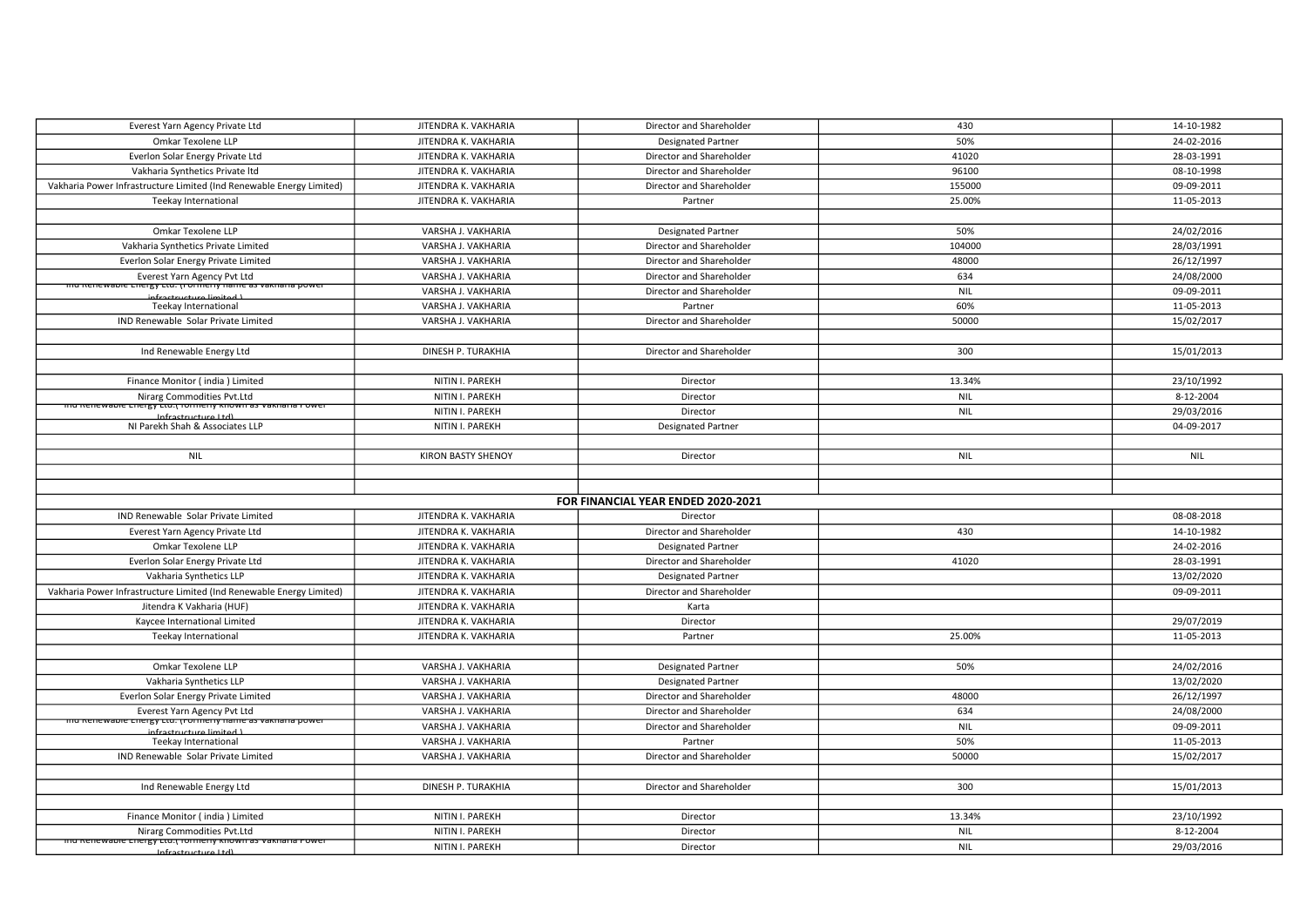| Everest Yarn Agency Private Ltd                                                                | JITENDRA K. VAKHARIA      | Director and Shareholder           | 430        | 14-10-1982 |
|------------------------------------------------------------------------------------------------|---------------------------|------------------------------------|------------|------------|
| Omkar Texolene LLP                                                                             | JITENDRA K. VAKHARIA      | <b>Designated Partner</b>          | 50%        | 24-02-2016 |
| Everlon Solar Energy Private Ltd                                                               | JITENDRA K. VAKHARIA      | Director and Shareholder           | 41020      | 28-03-1991 |
| Vakharia Synthetics Private Itd                                                                | JITENDRA K. VAKHARIA      | Director and Shareholder           | 96100      | 08-10-1998 |
| Vakharia Power Infrastructure Limited (Ind Renewable Energy Limited)                           | JITENDRA K. VAKHARIA      | Director and Shareholder           | 155000     | 09-09-2011 |
| Teekay International                                                                           | JITENDRA K. VAKHARIA      | Partner                            | 25.00%     | 11-05-2013 |
|                                                                                                |                           |                                    |            |            |
| Omkar Texolene LLP                                                                             | VARSHA J. VAKHARIA        | <b>Designated Partner</b>          | 50%        | 24/02/2016 |
| Vakharia Synthetics Private Limited                                                            | VARSHA J. VAKHARIA        | Director and Shareholder           | 104000     | 28/03/1991 |
| Everlon Solar Energy Private Limited                                                           | VARSHA J. VAKHARIA        | Director and Shareholder           | 48000      | 26/12/1997 |
| Everest Yarn Agency Pvt Ltd                                                                    | VARSHA J. VAKHARIA        | Director and Shareholder           | 634        | 24/08/2000 |
| <del>mu Kenewable Energy Etu. (Formeny name as vakhana power</del><br>infractructure limited L | VARSHA J. VAKHARIA        | Director and Shareholder           | <b>NIL</b> | 09-09-2011 |
| Teekay International                                                                           | VARSHA J. VAKHARIA        | Partner                            | 60%        | 11-05-2013 |
| IND Renewable Solar Private Limited                                                            | VARSHA J. VAKHARIA        | Director and Shareholder           | 50000      | 15/02/2017 |
|                                                                                                |                           |                                    |            |            |
| Ind Renewable Energy Ltd                                                                       | DINESH P. TURAKHIA        | Director and Shareholder           | 300        | 15/01/2013 |
|                                                                                                |                           |                                    |            |            |
| Finance Monitor (india) Limited                                                                | NITIN I. PAREKH           | Director                           | 13.34%     | 23/10/1992 |
| Nirarg Commodities Pvt.Ltd                                                                     | NITIN I. PAREKH           | Director                           | <b>NIL</b> | 8-12-2004  |
| <del>inu Kenewable Energy Etu.( Tomleny Known as vakhana Power</del><br>Infractructura1td1     | NITIN I. PAREKH           | Director                           | <b>NIL</b> | 29/03/2016 |
| NI Parekh Shah & Associates LLP                                                                | NITIN I. PAREKH           | <b>Designated Partner</b>          |            | 04-09-2017 |
|                                                                                                |                           |                                    |            |            |
| <b>NIL</b>                                                                                     | <b>KIRON BASTY SHENOY</b> | Director                           | NIL        | <b>NIL</b> |
|                                                                                                |                           |                                    |            |            |
|                                                                                                |                           |                                    |            |            |
|                                                                                                |                           | FOR FINANCIAL YEAR ENDED 2020-2021 |            |            |
| IND Renewable Solar Private Limited                                                            | JITENDRA K. VAKHARIA      | Director                           |            | 08-08-2018 |
| Everest Yarn Agency Private Ltd                                                                | JITENDRA K. VAKHARIA      | Director and Shareholder           | 430        | 14-10-1982 |
| Omkar Texolene LLP                                                                             | JITENDRA K. VAKHARIA      | <b>Designated Partner</b>          |            | 24-02-2016 |
| Everlon Solar Energy Private Ltd                                                               | JITENDRA K. VAKHARIA      | Director and Shareholder           | 41020      | 28-03-1991 |
| Vakharia Synthetics LLP                                                                        | JITENDRA K. VAKHARIA      | <b>Designated Partner</b>          |            | 13/02/2020 |
| Vakharia Power Infrastructure Limited (Ind Renewable Energy Limited)                           | JITENDRA K. VAKHARIA      | Director and Shareholder           |            | 09-09-2011 |
| Jitendra K Vakharia (HUF)                                                                      | JITENDRA K. VAKHARIA      | Karta                              |            |            |
| Kaycee International Limited                                                                   | JITENDRA K. VAKHARIA      | Director                           |            | 29/07/2019 |
| Teekay International                                                                           | JITENDRA K. VAKHARIA      | Partner                            | 25.00%     | 11-05-2013 |
|                                                                                                |                           |                                    |            |            |
| Omkar Texolene LLP                                                                             | VARSHA J. VAKHARIA        | <b>Designated Partner</b>          | 50%        | 24/02/2016 |
| Vakharia Synthetics LLP                                                                        | VARSHA J. VAKHARIA        | <b>Designated Partner</b>          |            | 13/02/2020 |
| Everlon Solar Energy Private Limited                                                           | VARSHA J. VAKHARIA        | Director and Shareholder           | 48000      | 26/12/1997 |
| Everest Yarn Agency Pvt Ltd                                                                    | VARSHA J. VAKHARIA        | Director and Shareholder           | 634        | 24/08/2000 |
| <u>mu Renewable Energy Etu. (Formeny name as vakhana power</u><br>infractructure limited L     | VARSHA J. VAKHARIA        | Director and Shareholder           | NIL        | 09-09-2011 |
| Teekay International                                                                           | VARSHA J. VAKHARIA        | Partner                            | 50%        | 11-05-2013 |
| IND Renewable Solar Private Limited                                                            | VARSHA J. VAKHARIA        | Director and Shareholder           | 50000      | 15/02/2017 |
|                                                                                                |                           |                                    |            |            |
| Ind Renewable Energy Ltd                                                                       |                           |                                    |            |            |
|                                                                                                | DINESH P. TURAKHIA        | Director and Shareholder           | 300        | 15/01/2013 |
|                                                                                                |                           |                                    |            |            |
| Finance Monitor (india) Limited                                                                | NITIN I. PAREKH           | Director                           | 13.34%     | 23/10/1992 |
| Nirarg Commodities Pvt.Ltd                                                                     | NITIN I. PAREKH           | Director                           | NIL        | 8-12-2004  |
| <u>mu Renewable Energy Etu. (Tomleny Known as vakhana Power</u><br>Infractructure Ltdl         | NITIN I. PAREKH           | Director                           | <b>NIL</b> | 29/03/2016 |